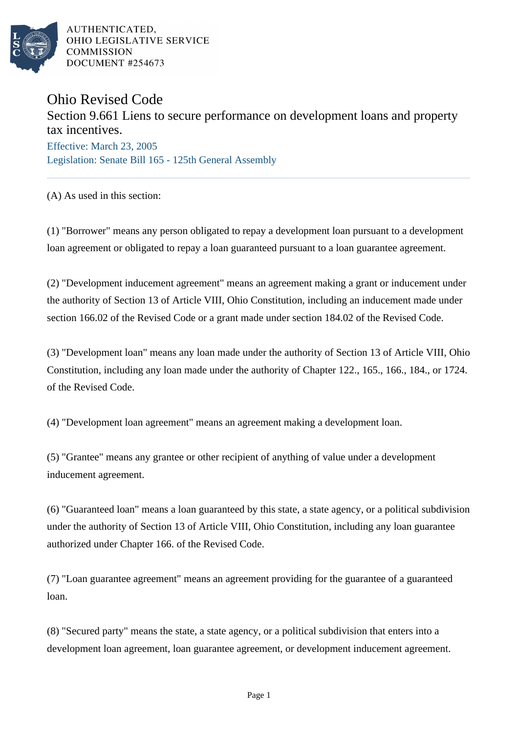

AUTHENTICATED. OHIO LEGISLATIVE SERVICE **COMMISSION** DOCUMENT #254673

## Ohio Revised Code

## Section 9.661 Liens to secure performance on development loans and property tax incentives.

Effective: March 23, 2005 Legislation: Senate Bill 165 - 125th General Assembly

(A) As used in this section:

(1) "Borrower" means any person obligated to repay a development loan pursuant to a development loan agreement or obligated to repay a loan guaranteed pursuant to a loan guarantee agreement.

(2) "Development inducement agreement" means an agreement making a grant or inducement under the authority of Section 13 of Article VIII, Ohio Constitution, including an inducement made under section 166.02 of the Revised Code or a grant made under section 184.02 of the Revised Code.

(3) "Development loan" means any loan made under the authority of Section 13 of Article VIII, Ohio Constitution, including any loan made under the authority of Chapter 122., 165., 166., 184., or 1724. of the Revised Code.

(4) "Development loan agreement" means an agreement making a development loan.

(5) "Grantee" means any grantee or other recipient of anything of value under a development inducement agreement.

(6) "Guaranteed loan" means a loan guaranteed by this state, a state agency, or a political subdivision under the authority of Section 13 of Article VIII, Ohio Constitution, including any loan guarantee authorized under Chapter 166. of the Revised Code.

(7) "Loan guarantee agreement" means an agreement providing for the guarantee of a guaranteed loan.

(8) "Secured party" means the state, a state agency, or a political subdivision that enters into a development loan agreement, loan guarantee agreement, or development inducement agreement.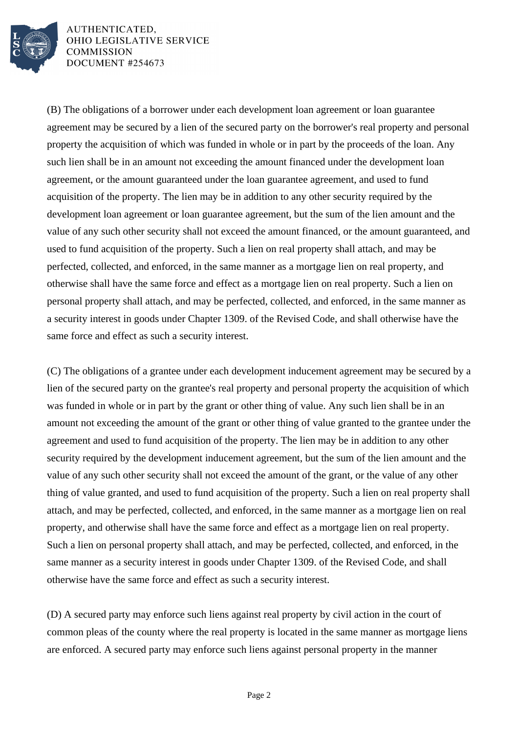

AUTHENTICATED, OHIO LEGISLATIVE SERVICE **COMMISSION** DOCUMENT #254673

(B) The obligations of a borrower under each development loan agreement or loan guarantee agreement may be secured by a lien of the secured party on the borrower's real property and personal property the acquisition of which was funded in whole or in part by the proceeds of the loan. Any such lien shall be in an amount not exceeding the amount financed under the development loan agreement, or the amount guaranteed under the loan guarantee agreement, and used to fund acquisition of the property. The lien may be in addition to any other security required by the development loan agreement or loan guarantee agreement, but the sum of the lien amount and the value of any such other security shall not exceed the amount financed, or the amount guaranteed, and used to fund acquisition of the property. Such a lien on real property shall attach, and may be perfected, collected, and enforced, in the same manner as a mortgage lien on real property, and otherwise shall have the same force and effect as a mortgage lien on real property. Such a lien on personal property shall attach, and may be perfected, collected, and enforced, in the same manner as a security interest in goods under Chapter 1309. of the Revised Code, and shall otherwise have the same force and effect as such a security interest.

(C) The obligations of a grantee under each development inducement agreement may be secured by a lien of the secured party on the grantee's real property and personal property the acquisition of which was funded in whole or in part by the grant or other thing of value. Any such lien shall be in an amount not exceeding the amount of the grant or other thing of value granted to the grantee under the agreement and used to fund acquisition of the property. The lien may be in addition to any other security required by the development inducement agreement, but the sum of the lien amount and the value of any such other security shall not exceed the amount of the grant, or the value of any other thing of value granted, and used to fund acquisition of the property. Such a lien on real property shall attach, and may be perfected, collected, and enforced, in the same manner as a mortgage lien on real property, and otherwise shall have the same force and effect as a mortgage lien on real property. Such a lien on personal property shall attach, and may be perfected, collected, and enforced, in the same manner as a security interest in goods under Chapter 1309. of the Revised Code, and shall otherwise have the same force and effect as such a security interest.

(D) A secured party may enforce such liens against real property by civil action in the court of common pleas of the county where the real property is located in the same manner as mortgage liens are enforced. A secured party may enforce such liens against personal property in the manner